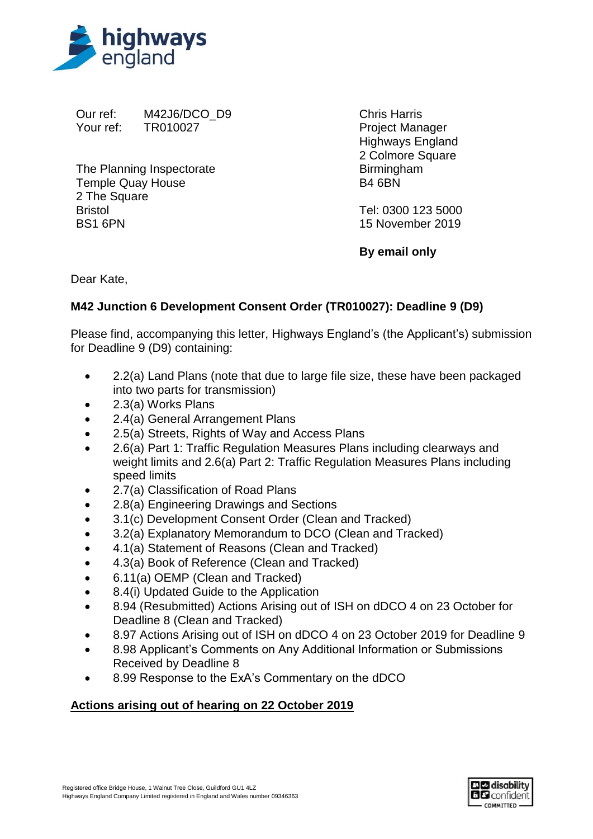

Our ref: M42J6/DCO\_D9 Your ref: TR010027

The Planning Inspectorate Temple Quay House 2 The Square Bristol BS1 6PN

Chris Harris Project Manager Highways England 2 Colmore Square Birmingham B4 6BN

Tel: 0300 123 5000 15 November 2019

**By email only**

Dear Kate,

## **M42 Junction 6 Development Consent Order (TR010027): Deadline 9 (D9)**

Please find, accompanying this letter, Highways England's (the Applicant's) submission for Deadline 9 (D9) containing:

- 2.2(a) Land Plans (note that due to large file size, these have been packaged into two parts for transmission)
- 2.3(a) Works Plans
- 2.4(a) General Arrangement Plans
- 2.5(a) Streets, Rights of Way and Access Plans
- 2.6(a) Part 1: Traffic Regulation Measures Plans including clearways and weight limits and 2.6(a) Part 2: Traffic Regulation Measures Plans including speed limits
- 2.7(a) Classification of Road Plans
- 2.8(a) Engineering Drawings and Sections
- 3.1(c) Development Consent Order (Clean and Tracked)
- 3.2(a) Explanatory Memorandum to DCO (Clean and Tracked)
- 4.1(a) Statement of Reasons (Clean and Tracked)
- 4.3(a) Book of Reference (Clean and Tracked)
- 6.11(a) OEMP (Clean and Tracked)
- 8.4(i) Updated Guide to the Application
- 8.94 (Resubmitted) Actions Arising out of ISH on dDCO 4 on 23 October for Deadline 8 (Clean and Tracked)
- 8.97 Actions Arising out of ISH on dDCO 4 on 23 October 2019 for Deadline 9
- 8.98 Applicant's Comments on Any Additional Information or Submissions Received by Deadline 8
- 8.99 Response to the ExA's Commentary on the dDCO

## **Actions arising out of hearing on 22 October 2019**